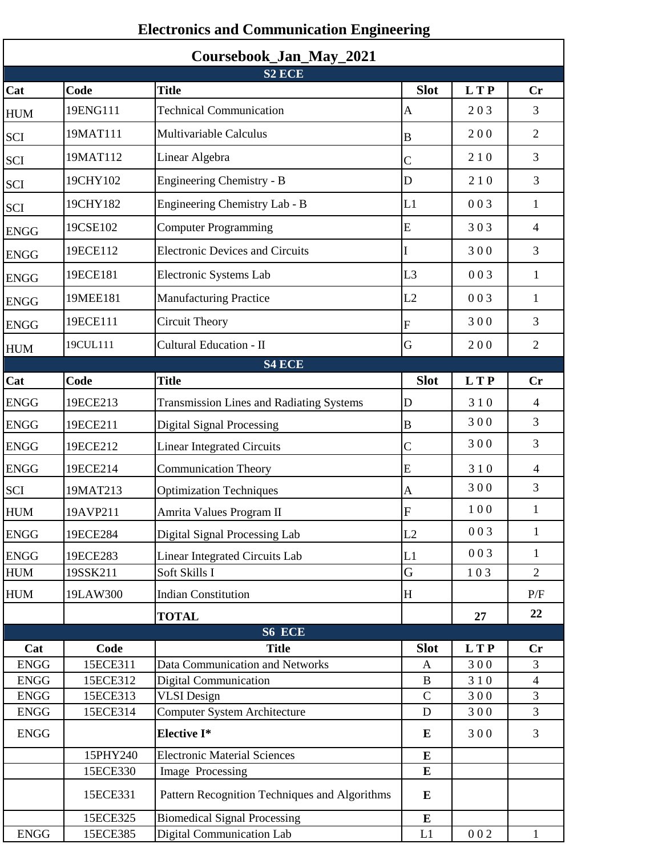| Coursebook_Jan_May_2021 |                      |                                                 |                    |            |                                  |  |  |  |  |
|-------------------------|----------------------|-------------------------------------------------|--------------------|------------|----------------------------------|--|--|--|--|
| Cat                     | Code                 | S <sub>2</sub> ECE<br><b>Title</b>              | <b>Slot</b>        | <b>LTP</b> | Cr                               |  |  |  |  |
|                         | 19ENG111             | <b>Technical Communication</b>                  | $\mathbf{A}$       | 203        | 3                                |  |  |  |  |
| <b>HUM</b>              | 19MAT111             | Multivariable Calculus                          |                    | 200        | $\mathfrak{2}$                   |  |  |  |  |
| SCI                     | 19MAT112             |                                                 | $\bf{B}$           |            | 3                                |  |  |  |  |
| SCI                     |                      | Linear Algebra                                  | $\mathsf C$        | 210        |                                  |  |  |  |  |
| <b>SCI</b>              | 19CHY102             | Engineering Chemistry - B                       | D                  | 210        | 3                                |  |  |  |  |
| SCI                     | 19CHY182             | Engineering Chemistry Lab - B                   | L1                 | 003        | 1                                |  |  |  |  |
| <b>ENGG</b>             | 19CSE102             | <b>Computer Programming</b>                     | ${\bf E}$          | 303        | $\overline{4}$                   |  |  |  |  |
| <b>ENGG</b>             | 19ECE112             | <b>Electronic Devices and Circuits</b>          | I                  | 300        | 3                                |  |  |  |  |
| <b>ENGG</b>             | 19ECE181             | Electronic Systems Lab                          | L <sub>3</sub>     | 003        | 1                                |  |  |  |  |
| <b>ENGG</b>             | 19MEE181             | <b>Manufacturing Practice</b>                   | L2                 | 003        | 1                                |  |  |  |  |
| <b>ENGG</b>             | 19ECE111             | <b>Circuit Theory</b>                           | ${\bf F}$          | 300        | 3                                |  |  |  |  |
| <b>HUM</b>              | 19CUL111             | <b>Cultural Education - II</b>                  | G                  | 200        | $\overline{2}$                   |  |  |  |  |
|                         |                      | <b>S4 ECE</b>                                   |                    |            |                                  |  |  |  |  |
| Cat                     | Code                 | <b>Title</b>                                    | <b>Slot</b>        | <b>LTP</b> | Cr                               |  |  |  |  |
| <b>ENGG</b>             | 19ECE213             | <b>Transmission Lines and Radiating Systems</b> | D                  | 310        | 4                                |  |  |  |  |
| <b>ENGG</b>             | 19ECE211             | <b>Digital Signal Processing</b>                | B                  | 300        | 3                                |  |  |  |  |
| <b>ENGG</b>             | 19ECE212             | <b>Linear Integrated Circuits</b>               | $\mathsf{C}$       | 300        | 3                                |  |  |  |  |
| ${\rm ENGG}$            | 19ECE214             | <b>Communication Theory</b>                     | E                  | 310        | 4                                |  |  |  |  |
| <b>SCI</b>              | 19MAT213             | <b>Optimization Techniques</b>                  | A                  | 300        | 3                                |  |  |  |  |
| <b>HUM</b>              | 19AVP211             | Amrita Values Program II                        | ${\bf F}$          | 100        | $\mathbf{1}$                     |  |  |  |  |
| <b>ENGG</b>             | 19ECE284             | Digital Signal Processing Lab                   | L2                 | 003        | 1                                |  |  |  |  |
| <b>ENGG</b>             | 19ECE283             | Linear Integrated Circuits Lab                  | L1                 | 003        | 1                                |  |  |  |  |
| HUM                     | 19SSK211             | Soft Skills I                                   | G                  | 103        | $\overline{2}$                   |  |  |  |  |
| <b>HUM</b>              | 19LAW300             | <b>Indian Constitution</b>                      | H                  |            | P/F                              |  |  |  |  |
|                         |                      | <b>TOTAL</b>                                    |                    | 27         | 22                               |  |  |  |  |
|                         |                      | S6 ECE                                          |                    |            |                                  |  |  |  |  |
| Cat                     | Code                 | <b>Title</b>                                    | <b>Slot</b>        | <b>LTP</b> | Cr                               |  |  |  |  |
| <b>ENGG</b>             | 15ECE311             | Data Communication and Networks                 | A                  | 300        | 3                                |  |  |  |  |
| <b>ENGG</b>             | 15ECE312             | <b>Digital Communication</b>                    | B<br>$\mathcal{C}$ | 310        | $\overline{4}$<br>$\overline{3}$ |  |  |  |  |
| <b>ENGG</b>             | 15ECE313<br>15ECE314 | <b>VLSI</b> Design                              | D                  | 300<br>300 | 3                                |  |  |  |  |
| <b>ENGG</b>             |                      | <b>Computer System Architecture</b>             |                    |            |                                  |  |  |  |  |
| <b>ENGG</b>             |                      | <b>Elective I*</b>                              | E                  | 300        | 3                                |  |  |  |  |
|                         | 15PHY240             | <b>Electronic Material Sciences</b>             | E                  |            |                                  |  |  |  |  |
|                         | 15ECE330             | Image Processing                                | E                  |            |                                  |  |  |  |  |
|                         | 15ECE331             | Pattern Recognition Techniques and Algorithms   | E                  |            |                                  |  |  |  |  |
|                         | 15ECE325             | <b>Biomedical Signal Processing</b>             | E                  |            |                                  |  |  |  |  |
| <b>ENGG</b>             | 15ECE385             | Digital Communication Lab                       | L1                 | 002        | 1                                |  |  |  |  |

## **Electronics and Communication Engineering**